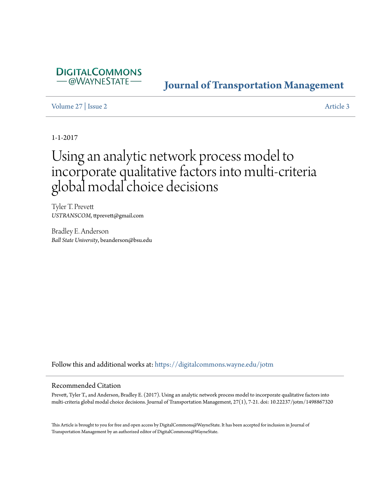

# **[Journal of Transportation Management](https://digitalcommons.wayne.edu/jotm?utm_source=digitalcommons.wayne.edu%2Fjotm%2Fvol27%2Fiss2%2F3&utm_medium=PDF&utm_campaign=PDFCoverPages)**

[Volume 27](https://digitalcommons.wayne.edu/jotm/vol27?utm_source=digitalcommons.wayne.edu%2Fjotm%2Fvol27%2Fiss2%2F3&utm_medium=PDF&utm_campaign=PDFCoverPages) | [Issue 2](https://digitalcommons.wayne.edu/jotm/vol27/iss2?utm_source=digitalcommons.wayne.edu%2Fjotm%2Fvol27%2Fiss2%2F3&utm_medium=PDF&utm_campaign=PDFCoverPages) [Article 3](https://digitalcommons.wayne.edu/jotm/vol27/iss2/3?utm_source=digitalcommons.wayne.edu%2Fjotm%2Fvol27%2Fiss2%2F3&utm_medium=PDF&utm_campaign=PDFCoverPages)

1-1-2017

# Using an analytic network process model to incorporate qualitative factors into multi-criteria global modal choice decisions

Tyler T. Prevett *USTRANSCOM*, ttprevett@gmail.com

Bradley E. Anderson *Ball State University*, beanderson@bsu.edu

Follow this and additional works at: [https://digitalcommons.wayne.edu/jotm](https://digitalcommons.wayne.edu/jotm?utm_source=digitalcommons.wayne.edu%2Fjotm%2Fvol27%2Fiss2%2F3&utm_medium=PDF&utm_campaign=PDFCoverPages)

#### Recommended Citation

Prevett, Tyler T., and Anderson, Bradley E. (2017). Using an analytic network process model to incorporate qualitative factors into multi-criteria global modal choice decisions. Journal of Transportation Management, 27(1), 7-21. doi: 10.22237/jotm/1498867320

This Article is brought to you for free and open access by DigitalCommons@WayneState. It has been accepted for inclusion in Journal of Transportation Management by an authorized editor of DigitalCommons@WayneState.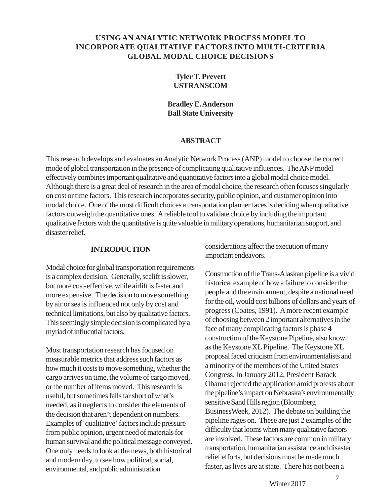# **USING AN ANALYTIC NETWORK PROCESS MODEL TO INCORPORATE QUALITATIVE FACTORS INTO MULTI-CRITERIA GLOBAL MODAL CHOICE DECISIONS**

# **Tyler T. Prevett USTRANSCOM**

# **Bradley E. Anderson Ball State University**

#### **ABSTRACT**

This research develops and evaluates an Analytic Network Process (ANP) model to choose the correct mode of global transportation in the presence of complicating qualitative influences. The ANP model effectively combines important qualitative and quantitative factors into a global modal choice model. Although there is a great deal of research in the area of modal choice, the research often focuses singularly on cost or time factors. This research incorporates security, public opinion, and customer opinion into modal choice. One of the most difficult choices a transportation planner faces is deciding when qualitative factors outweigh the quantitative ones. A reliable tool to validate choice by including the important qualitative factors with the quantitative is quite valuable in military operations, humanitarian support, and disaster relief.

#### **INTRODUCTION**

Modal choice for global transportation requirements is a complex decision. Generally, sealift is slower, but more cost-effective, while airlift is faster and more expensive. The decision to move something by air or sea is influenced not only by cost and technical limitations, but also by qualitative factors. This seemingly simple decision is complicated by a myriad of influential factors.

Most transportation research has focused on measurable metrics that address such factors as how much it costs to move something, whether the cargo arrives on time, the volume of cargo moved, or the number of items moved. This research is useful, but sometimes falls far short of what's needed, as it neglects to consider the elements of the decision that aren't dependent on numbers. Examples of 'qualitative' factors include pressure from public opinion, urgent need of materials for human survival and the political message conveyed. One only needs to look at the news, both historical and modern day, to see how political, social, environmental, and public administration

considerations affect the execution of many important endeavors.

Construction of the Trans-Alaskan pipeline is a vivid historical example of how a failure to consider the people and the environment, despite a national need for the oil, would cost billions of dollars and years of progress (Coates, 1991). A more recent example of choosing between 2 important alternatives in the face of many complicating factors is phase 4 construction of the Keystone Pipeline, also known as the Keystone XL Pipeline. The Keystone XL proposal faced criticism from environmentalists and a minority of the members of the United States Congress. In January 2012, President Barack Obama rejected the application amid protests about the pipeline's impact on Nebraska's environmentally sensitive Sand Hills region (Bloomberg BusinessWeek, 2012). The debate on building the pipeline rages on. These are just 2 examples of the difficulty that looms when many qualitative factors are involved. These factors are common in military transportation, humanitarian assistance and disaster relief efforts, but decisions must be made much faster, as lives are at state. There has not been a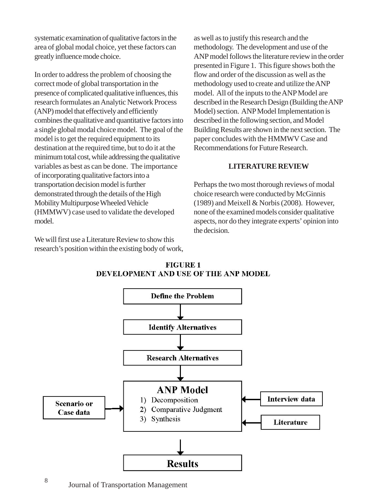systematic examination of qualitative factors in the area of global modal choice, yet these factors can greatly influence mode choice.

In order to address the problem of choosing the correct mode of global transportation in the presence of complicated qualitative influences, this research formulates an Analytic Network Process (ANP) model that effectively and efficiently combines the qualitative and quantitative factors into a single global modal choice model. The goal of the model is to get the required equipment to its destination at the required time, but to do it at the minimum total cost, while addressing the qualitative variables as best as can be done. The importance of incorporating qualitative factors into a transportation decision model is further demonstrated through the details of the High Mobility Multipurpose Wheeled Vehicle (HMMWV) case used to validate the developed model.

We will first use a Literature Review to show this research's position within the existing body of work, as well as to justify this research and the methodology. The development and use of the ANP model follows the literature review in the order presented in Figure 1. This figure shows both the flow and order of the discussion as well as the methodology used to create and utilize the ANP model. All of the inputs to the ANP Model are described in the Research Design (Building the ANP Model) section. ANP Model Implementation is described in the following section, and Model Building Results are shown in the next section. The paper concludes with the HMMWV Case and Recommendations for Future Research.

#### **LITERATURE REVIEW**

Perhaps the two most thorough reviews of modal choice research were conducted by McGinnis (1989) and Meixell & Norbis (2008). However, none of the examined models consider qualitative aspects, nor do they integrate experts' opinion into the decision.



**FIGURE 1** DEVELOPMENT AND USE OF THE ANP MODEL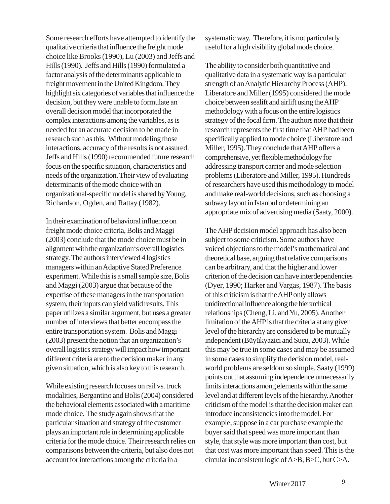Some research efforts have attempted to identify the qualitative criteria that influence the freight mode choice like Brooks (1990), Lu (2003) and Jeffs and Hills (1990). Jeffs and Hills (1990) formulated a factor analysis of the determinants applicable to freight movement in the United Kingdom. They highlight six categories of variables that influence the decision, but they were unable to formulate an overall decision model that incorporated the complex interactions among the variables, as is needed for an accurate decision to be made in research such as this. Without modeling those interactions, accuracy of the results is not assured. Jeffs and Hills (1990) recommended future research focus on the specific situation, characteristics and needs of the organization. Their view of evaluating determinants of the mode choice with an organizational-specific model is shared by Young, Richardson, Ogden, and Rattay (1982).

In their examination of behavioral influence on freight mode choice criteria, Bolis and Maggi (2003) conclude that the mode choice must be in alignment with the organization's overall logistics strategy. The authors interviewed 4 logistics managers within an Adaptive Stated Preference experiment. While this is a small sample size, Bolis and Maggi (2003) argue that because of the expertise of these managers in the transportation system, their inputs can yield valid results. This paper utilizes a similar argument, but uses a greater number of interviews that better encompass the entire transportation system. Bolis and Maggi (2003) present the notion that an organization's overall logistics strategy will impact how important different criteria are to the decision maker in any given situation, which is also key to this research.

While existing research focuses on rail vs. truck modalities, Bergantino and Bolis (2004) considered the behavioral elements associated with a maritime mode choice. The study again shows that the particular situation and strategy of the customer plays an important role in determining applicable criteria for the mode choice. Their research relies on comparisons between the criteria, but also does not account for interactions among the criteria in a

systematic way. Therefore, it is not particularly useful for a high visibility global mode choice.

The ability to consider both quantitative and qualitative data in a systematic way is a particular strength of an Analytic Hierarchy Process (AHP). Liberatore and Miller (1995) considered the mode choice between sealift and airlift using the AHP methodology with a focus on the entire logistics strategy of the focal firm. The authors note that their research represents the first time that AHP had been specifically applied to mode choice (Liberatore and Miller, 1995). They conclude that AHP offers a comprehensive, yet flexible methodology for addressing transport carrier and mode selection problems (Liberatore and Miller, 1995). Hundreds of researchers have used this methodology to model and make real-world decisions, such as choosing a subway layout in Istanbul or determining an appropriate mix of advertising media (Saaty, 2000).

The AHP decision model approach has also been subject to some criticism. Some authors have voiced objections to the model's mathematical and theoretical base, arguing that relative comparisons can be arbitrary, and that the higher and lower criterion of the decision can have interdependencies (Dyer, 1990; Harker and Vargas, 1987). The basis of this criticism is that the AHP only allows unidirectional influence along the hierarchical relationships (Cheng, Li, and Yu, 2005). Another limitation of the AHP is that the criteria at any given level of the hierarchy are considered to be mutually independent (Büyükyazici and Sucu, 2003). While this may be true in some cases and may be assumed in some cases to simplify the decision model, realworld problems are seldom so simple. Saaty (1999) points out that assuming independence unnecessarily limits interactions among elements within the same level and at different levels of the hierarchy. Another criticism of the model is that the decision maker can introduce inconsistencies into the model. For example, suppose in a car purchase example the buyer said that speed was more important than style, that style was more important than cost, but that cost was more important than speed. This is the circular inconsistent logic of A>B, B>C, but C>A.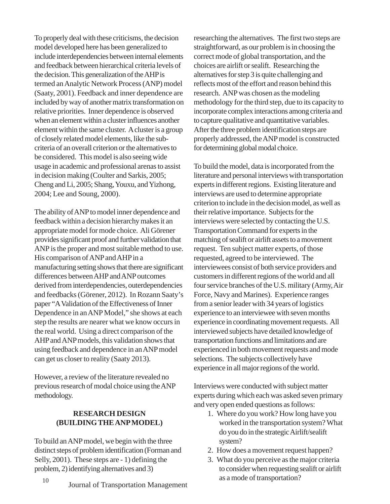To properly deal with these criticisms, the decision model developed here has been generalized to include interdependencies between internal elements and feedback between hierarchical criteria levels of the decision. This generalization of the AHP is termed an Analytic Network Process (ANP) model (Saaty, 2001). Feedback and inner dependence are included by way of another matrix transformation on relative priorities. Inner dependence is observed when an element within a cluster influences another element within the same cluster. A cluster is a group of closely related model elements, like the subcriteria of an overall criterion or the alternatives to be considered. This model is also seeing wide usage in academic and professional arenas to assist in decision making (Coulter and Sarkis, 2005; Cheng and Li, 2005; Shang, Youxu, and Yizhong, 2004; Lee and Soung, 2000).

The ability of ANP to model inner dependence and feedback within a decision hierarchy makes it an appropriate model for mode choice. Ali Görener provides significant proof and further validation that ANP is the proper and most suitable method to use. His comparison of ANP and AHP in a manufacturing setting shows that there are significant differences between AHP and ANP outcomes derived from interdependencies, outerdependencies and feedbacks (Görener, 2012). In Rozann Saaty's paper "A Validation of the Effectiveness of Inner Dependence in an ANP Model," she shows at each step the results are nearer what we know occurs in the real world. Using a direct comparison of the AHP and ANP models, this validation shows that using feedback and dependence in an ANP model can get us closer to reality (Saaty 2013).

However, a review of the literature revealed no previous research of modal choice using the ANP methodology.

## **RESEARCH DESIGN (BUILDING THE ANP MODEL)**

To build an ANP model, we begin with the three distinct steps of problem identification (Forman and Selly, 2001). These steps are - 1) defining the problem, 2) identifying alternatives and 3)

researching the alternatives. The first two steps are straightforward, as our problem is in choosing the correct mode of global transportation, and the choices are airlift or sealift. Researching the alternatives for step 3 is quite challenging and reflects most of the effort and reason behind this research. ANP was chosen as the modeling methodology for the third step, due to its capacity to incorporate complex interactions among criteria and to capture qualitative and quantitative variables. After the three problem identification steps are properly addressed, the ANP model is constructed for determining global modal choice.

To build the model, data is incorporated from the literature and personal interviews with transportation experts in different regions. Existing literature and interviews are used to determine appropriate criterion to include in the decision model, as well as their relative importance. Subjects for the interviews were selected by contacting the U.S. Transportation Command for experts in the matching of sealift or airlift assets to a movement request. Ten subject matter experts, of those requested, agreed to be interviewed. The interviewees consist of both service providers and customers in different regions of the world and all four service branches of the U.S. military (Army, Air Force, Navy and Marines). Experience ranges from a senior leader with 34 years of logistics experience to an interviewee with seven months experience in coordinating movement requests. All interviewed subjects have detailed knowledge of transportation functions and limitations and are experienced in both movement requests and mode selections. The subjects collectively have experience in all major regions of the world.

Interviews were conducted with subject matter experts during which each was asked seven primary and very open ended questions as follows:

- 1. Where do you work? How long have you worked in the transportation system? What do you do in the strategic Airlift/sealift system?
- 2. How does a movement request happen?
- 3. What do you perceive as the major criteria to consider when requesting sealift or airlift as a mode of transportation?
- 10 **Journal of Transportation Management**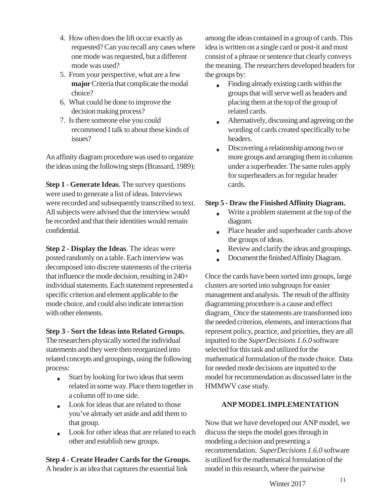- 4. How often does the lift occur exactly as requested? Can you recall any cases where one mode was requested, but a different mode was used?
- 5. From your perspective, what are a few **major** Criteria that complicate the modal choice?
- 6. What could be done to improve the decision making process?
- 7. Is there someone else you could recommend I talk to about these kinds of issues?

An affinity diagram procedure was used to organize the ideas using the following steps (Brassard, 1989):

**Step 1 - Generate Ideas**. The survey questions were used to generate a list of ideas. Interviews were recorded and subsequently transcribed to text. All subjects were advised that the interview would be recorded and that their identities would remain confidential.

**Step 2 - Display the Ideas**. The ideas were posted randomly on a table. Each interview was decomposed into discrete statements of the criteria that influence the mode decision, resulting in 240+ individual statements. Each statement represented a specific criterion and element applicable to the mode choice, and could also indicate interaction with other elements.

# **Step 3 - Sort the Ideas into Related Groups.**

The researchers physically sorted the individual statements and they were then reorganized into related concepts and groupings, using the following process:

- Start by looking for two ideas that seem  $\bullet$ related in some way. Place them together in a column off to one side.
- Look for ideas that are related to those you've already set aside and add them to that group.
- Look for other ideas that are related to each other and establish new groups.

# **Step 4 - Create Header Cards for the Groups.**

A header is an idea that captures the essential link

among the ideas contained in a group of cards. This idea is written on a single card or post-it and must consist of a phrase or sentence that clearly conveys the meaning. The researchers developed headers for the groups by:

- Finding already existing cards within the  $\bullet$ groups that will serve well as headers and placing them at the top of the group of related cards.
- Alternatively, discussing and agreeing on the  $\ddot{\phantom{a}}$ wording of cards created specifically to be headers.
- Discovering a relationship among two or  $\bullet$ more groups and arranging them in columns under a superheader. The same rules apply for superheaders as for regular header cards.

# **Step 5 - Draw the Finished Affinity Diagram.**

- Write a problem statement at the top of the  $\bullet$ diagram.
- Place header and superheader cards above  $\bullet$ the groups of ideas.
- Review and clarify the ideas and groupings.  $\bullet$
- Document the finished Affinity Diagram.

Once the cards have been sorted into groups, large clusters are sorted into subgroups for easier management and analysis. The result of the affinity diagramming procedure is a cause and effect diagram. Once the statements are transformed into the needed criterion, elements, and interactions that represent policy, practice, and priorities, they are all inputted to the *SuperDecisions 1.6.0* software selected for this task and utilized for the mathematical formulation of the mode choice. Data for needed mode decisions are inputted to the model for recommendation as discussed later in the HMMWV case study.

# **ANP MODEL IMPLEMENTATION**

Now that we have developed our ANP model, we discuss the steps the model goes through in modeling a decision and presenting a recommendation. *SuperDecisions 1.6.0* software is utilized for the mathematical formulation of the model in this research, where the pairwise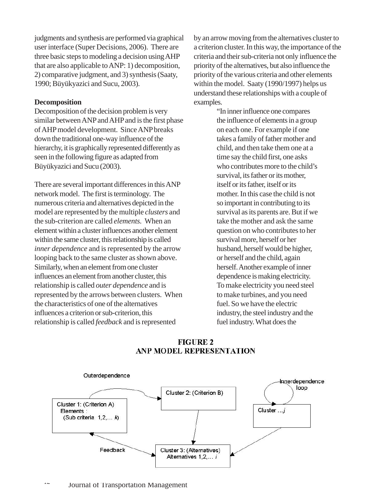judgments and synthesis are performed via graphical user interface (Super Decisions, 2006). There are three basic steps to modeling a decision using AHP that are also applicable to ANP: 1) decomposition, 2) comparative judgment, and 3) synthesis (Saaty, 1990; Büyükyazici and Sucu, 2003).

#### **Decomposition**

Decomposition of the decision problem is very similar between ANP and AHP and is the first phase of AHP model development. Since ANP breaks down the traditional one-way influence of the hierarchy, it is graphically represented differently as seen in the following figure as adapted from Büyükyazici and Sucu (2003).

There are several important differences in this ANP network model. The first is terminology. The numerous criteria and alternatives depicted in the model are represented by the multiple *clusters* and the sub-criterion are called *elements.* When an element within a cluster influences another element within the same cluster, this relationship is called *inner dependence* and is represented by the arrow looping back to the same cluster as shown above. Similarly, when an element from one cluster influences an element from another cluster, this relationship is called *outer dependence* and is represented by the arrows between clusters. When the characteristics of one of the alternatives influences a criterion or sub-criterion, this relationship is called *feedback* and is represented

by an arrow moving from the alternatives cluster to a criterion cluster.In this way, the importance of the criteria and their sub-criteria not only influence the priority of the alternatives, but also influence the priority of the various criteria and other elements within the model. Saaty (1990/1997) helps us understand these relationships with a couple of examples.

> "In inner influence one compares the influence of elements in a group on each one. For example if one takes a family of father mother and child, and then take them one at a time say the child first, one asks who contributes more to the child's survival, its father or its mother, itself or its father, itself or its mother. In this case the child is not so important in contributing to its survival as its parents are. But if we take the mother and ask the same question on who contributes to her survival more, herself or her husband, herself would be higher, or herself and the child, again herself. Another example of inner dependence is making electricity. To make electricity you need steel to make turbines, and you need fuel. So we have the electric industry, the steel industry and the fuel industry. What does the

# **FIGURE 2 ANP MODEL REPRESENTATION**

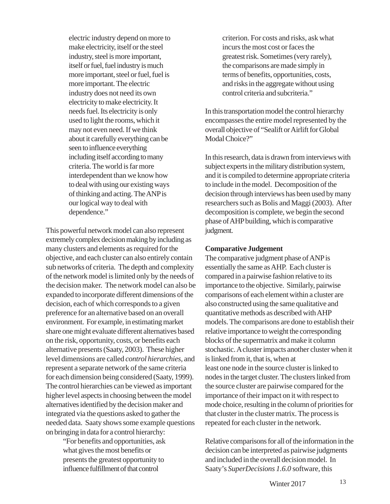electric industry depend on more to make electricity, itself or the steel industry, steel is more important, itself or fuel, fuel industry is much more important, steel or fuel, fuel is more important. The electric industry does not need its own electricity to make electricity. It needs fuel. Its electricity is only used to light the rooms, which it may not even need. If we think about it carefully everything can be seen to influence everything including itself according to many criteria. The world is far more interdependent than we know how to deal with using our existing ways of thinking and acting. The ANP is our logical way to deal with dependence."

This powerful network model can also represent extremely complex decision making by including as many clusters and elements as required for the objective, and each cluster can also entirely contain sub networks of criteria. The depth and complexity of the network model is limited only by the needs of the decision maker. The network model can also be expanded to incorporate different dimensions of the decision, each of which corresponds to a given preference for an alternative based on an overall environment. For example, in estimating market share one might evaluate different alternatives based on the risk, opportunity, costs, or benefits each alternative presents (Saaty, 2003). These higher level dimensions are called *control hierarchies,* and represent a separate network of the same criteria for each dimension being considered (Saaty, 1999). The control hierarchies can be viewed as important higher level aspects in choosing between the model alternatives identified by the decision maker and integrated via the questions asked to gather the needed data. Saaty shows some example questions on bringing in data for a control hierarchy:

> "For benefits and opportunities, ask what gives the most benefits or presents the greatest opportunity to influence fulfillment of that control

criterion. For costs and risks, ask what incurs the most cost or faces the greatest risk. Sometimes (very rarely), the comparisons are made simply in terms of benefits, opportunities, costs, and risks in the aggregate without using control criteria and subcriteria."

In this transportation model the control hierarchy encompasses the entire model represented by the overall objective of "Sealift or Airlift for Global Modal Choice?"

In this research, data is drawn from interviews with subject experts in the military distribution system, and it is compiled to determine appropriate criteria to include in the model. Decomposition of the decision through interviews has been used by many researchers such as Bolis and Maggi (2003). After decomposition is complete, we begin the second phase of AHP building, which is comparative judgment.

#### **Comparative Judgement**

The comparative judgment phase of ANP is essentially the same as AHP. Each cluster is compared in a pairwise fashion relative to its importance to the objective. Similarly, pairwise comparisons of each element within a cluster are also constructed using the same qualitative and quantitative methods as described with AHP models. The comparisons are done to establish their relative importance to weight the corresponding blocks of the supermatrix and make it column stochastic. A cluster impacts another cluster when it is linked from it, that is, when at least one node in the source cluster is linked to nodes in the target cluster. The clusters linked from the source cluster are pairwise compared for the importance of their impact on it with respect to mode choice, resulting in the column of priorities for that cluster in the cluster matrix. The process is repeated for each cluster in the network.

Relative comparisons for all of the information in the decision can be interpreted as pairwise judgments and included in the overall decision model. In Saaty's *SuperDecisions 1.6.0* software, this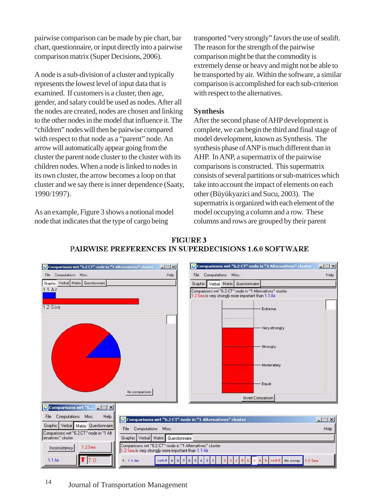pairwise comparison can be made by pie chart, bar chart, questionnaire, or input directly into a pairwise comparison matrix (Super Decisions, 2006).

A node is a sub-division of a cluster and typically represents the lowest level of input data that is examined. If customers is a cluster, then age, gender, and salary could be used as nodes. After all the nodes are created, nodes are chosen and linking to the other nodes in the model that influence it. The "children" nodes will then be pairwise compared with respect to that node as a "parent" node. An arrow will automatically appear going from the cluster the parent node cluster to the cluster with its children nodes. When a node is linked to nodes in its own cluster, the arrow becomes a loop on that cluster and we say there is inner dependence (Saaty, 1990/1997).

As an example, Figure 3 shows a notional model node that indicates that the type of cargo being

transported "very strongly" favors the use of sealift. The reason for the strength of the pairwise comparison might be that the commodity is extremely dense or heavy and might not be able to be transported by air. Within the software, a similar comparison is accomplished for each sub-criterion with respect to the alternatives.

# **Synthesis**

After the second phase of AHP development is complete, we can begin the third and final stage of model development, known as Synthesis. The synthesis phase of ANP is much different than in AHP. In ANP, a supermatrix of the pairwise comparisons is constructed. This supermatrix consists of several partitions or sub-matrices which take into account the impact of elements on each other (Büyükyazici and Sucu, 2003). The supermatrix is organized with each element of the model occupying a column and a row. These columns and rows are grouped by their parent



# **FIGURE 3** PAIRWISE PREFERENCES IN SUPERDECISIONS 1.6.0 SOFTWARE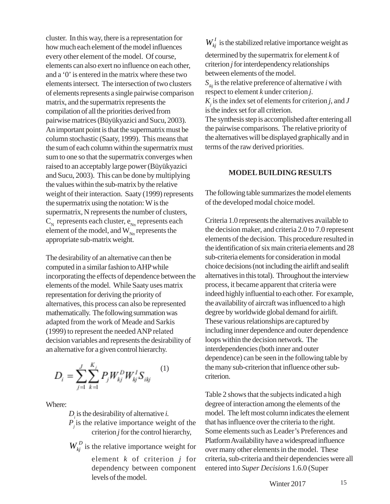cluster. In this way, there is a representation for how much each element of the model influences every other element of the model. Of course, elements can also exert no influence on each other, and a '0' is entered in the matrix where these two elements intersect. The intersection of two clusters of elements represents a single pairwise comparison matrix, and the supermatrix represents the compilation of all the priorities derived from pairwise matrices (Büyükyazici and Sucu, 2003). An important point is that the supermatrix must be column stochastic (Saaty, 1999). This means that the sum of each column within the supermatrix must sum to one so that the supermatrix converges when raised to an acceptably large power (Büyükyazici and Sucu, 2003). This can be done by multiplying the values within the sub-matrix by the relative weight of their interaction. Saaty (1999) represents the supermatrix using the notation: W is the supermatrix, N represents the number of clusters,  $C_{N}$  represents each cluster,  $e_{Nn}$  represents each element of the model, and  $W_{Nn}$  represents the appropriate sub-matrix weight.

The desirability of an alternative can then be computed in a similar fashion to AHP while incorporating the effects of dependence between the elements of the model. While Saaty uses matrix representation for deriving the priority of alternatives, this process can also be represented mathematically. The following summation was adapted from the work of Meade and Sarkis (1999) to represent the needed ANP related decision variables and represents the desirability of an alternative for a given control hierarchy.

$$
D_i = \sum_{j=1}^{J} \sum_{k=1}^{K_j} P_j W_{kj}^D W_{kj}^I S_{ikj} \qquad (1)
$$

Where:

 $D_i$  is the desirability of alternative *i*.

 $P_j$  is the relative importance weight of the criterion *j* for the control hierarchy,

 $W_{ki}^D$  is the relative importance weight for element *k* of criterion *j* for dependency between component levels of the model.

 $W_{ki}^I$  is the stabilized relative importance weight as

determined by the supermatrix for element *k* of criterion *j* for interdependency relationships between elements of the model.

 $S_{ikj}$  is the relative preference of alternative *i* with respect to element *k* under criterion *j*.

 $K_j$  is the index set of elements for criterion *j*, and *J* is the index set for all criterion.

The synthesis step is accomplished after entering all the pairwise comparisons. The relative priority of the alternatives will be displayed graphically and in terms of the raw derived priorities.

#### **MODEL BUILDING RESULTS**

The following table summarizes the model elements of the developed modal choice model.

Criteria 1.0 represents the alternatives available to the decision maker, and criteria 2.0 to 7.0 represent elements of the decision. This procedure resulted in the identification of six main criteria elements and 28 sub-criteria elements for consideration in modal choice decisions (not including the airlift and sealift alternatives in this total). Throughout the interview process, it became apparent that criteria were indeed highly influential to each other. For example, the availability of aircraft was influenced to a high degree by worldwide global demand for airlift. These various relationships are captured by including inner dependence and outer dependence loops within the decision network. The interdependencies (both inner and outer dependence) can be seen in the following table by the many sub-criterion that influence other subcriterion.

Table 2 shows that the subjects indicated a high degree of interaction among the elements of the model. The left most column indicates the element that has influence over the criteria to the right. Some elements such as Leader's Preferences and Platform Availability have a widespread influence over many other elements in the model. These criteria, sub-criteria and their dependencies were all entered into *Super Decisions* 1.6.0 (Super

Winter 2017 15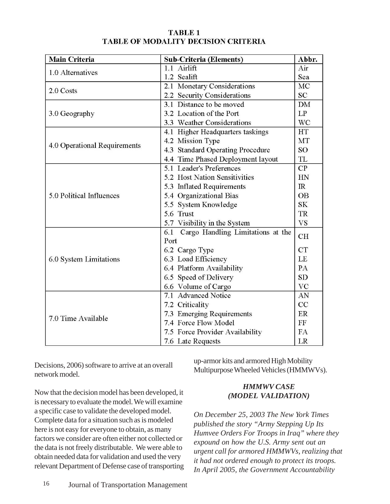## **TABLE 1 TABLE OF MODALITY DECISION CRITERIA**

| <b>Main Criteria</b>         | <b>Sub-Criteria (Elements)</b>           | Abbr.     |
|------------------------------|------------------------------------------|-----------|
| 1.0 Alternatives             | 1.1 Airlift                              | Air       |
|                              | 1.2 Sealift                              | Sea       |
| 2.0 Costs                    | 2.1 Monetary Considerations              | MC        |
|                              | 2.2 Security Considerations              | <b>SC</b> |
|                              | 3.1 Distance to be moved                 | <b>DM</b> |
| 3.0 Geography                | 3.2 Location of the Port                 | LP        |
|                              | 3.3 Weather Considerations               | <b>WC</b> |
|                              | 4.1 Higher Headquarters taskings         | <b>HT</b> |
|                              | 4.2 Mission Type                         | MT        |
| 4.0 Operational Requirements | 4.3 Standard Operating Procedure         | <b>SO</b> |
|                              | 4.4 Time Phased Deployment layout        | TL        |
|                              | 5.1 Leader's Preferences                 | CP        |
|                              | 5.2 Host Nation Sensitivities            | HN        |
|                              | 5.3 Inflated Requirements                | IR        |
| 5.0 Political Influences     | 5.4 Organizational Bias                  | <b>OB</b> |
|                              | 5.5 System Knowledge                     | <b>SK</b> |
|                              | 5.6 Trust                                | <b>TR</b> |
|                              | 5.7 Visibility in the System             | <b>VS</b> |
|                              | Cargo Handling Limitations at the<br>6.1 | <b>CH</b> |
|                              | Port                                     |           |
|                              | 6.2 Cargo Type                           | <b>CT</b> |
| 6.0 System Limitations       | 6.3 Load Efficiency                      | LE        |
|                              | 6.4 Platform Availability                | PA        |
|                              | 6.5 Speed of Delivery                    | <b>SD</b> |
|                              | 6.6 Volume of Cargo                      | VC        |
|                              | 7.1 Advanced Notice                      | AN        |
|                              | 7.2 Criticality                          | CC        |
| 7.0 Time Available           | 7.3 Emerging Requirements                | ER        |
|                              | 7.4 Force Flow Model                     | FF        |
|                              | 7.5 Force Provider Availability          | FA        |
|                              | 7.6 Late Requests                        | LR        |

Decisions, 2006) software to arrive at an overall network model.

up-armor kits and armored High Mobility Multipurpose Wheeled Vehicles (HMMWVs).

Now that the decision model has been developed, it is necessary to evaluate the model. We will examine a specific case to validate the developed model. Complete data for a situation such as is modeled here is not easy for everyone to obtain, as many factors we consider are often either not collected or the data is not freely distributable. We were able to obtain needed data for validation and used the very relevant Department of Defense case of transporting

# *HMMWV CASE (MODEL VALIDATION)*

*On December 25, 2003 The New York Times published the story "Army Stepping Up Its Humvee Orders For Troops in Iraq" where they expound on how the U.S. Army sent out an urgent call for armored HMMWVs, realizing that it had not ordered enough to protect its troops. In April 2005, the Government Accountability*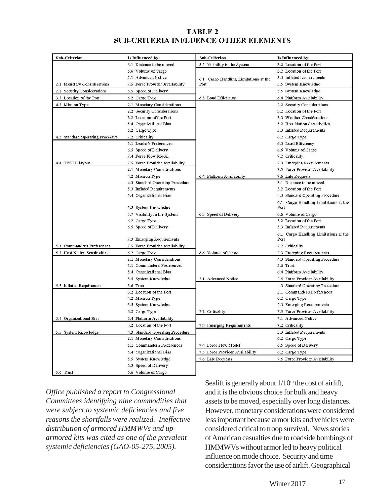# **TABLE 2 SUB-CRITERIA INFLUENCE OTHER ELEMENTS**

| <b>Sub-Criterion</b>             | Is Influenced by:                | <b>Sub-Criterion</b>                  | Is Influenced by:                     |
|----------------------------------|----------------------------------|---------------------------------------|---------------------------------------|
|                                  | 3.1 Distance to be moved         | 5.7 Visibility in the System          | 3.2 Location of the Port              |
|                                  | 6.6 Volume of Cargo              |                                       | 3.2 Location of the Port              |
|                                  | 7.1 Advanced Notice              | 6.1 Cargo Handling Limitations at the | 5.3 Inflated Requirements             |
| 2.1 Monetary Considerations      | 7.5 Force Provider Availability  | Port                                  | 5.5 System Knowledge                  |
| 2.2 Security Considerations      | 6.5 Speed of Delivery            |                                       | 5.5 System Knowledge                  |
| 3.2 Location of the Port         | 6.2 Cargo Type                   | 6.3 Load Efficiency                   | 6.4 Platform Availability             |
| 4.2 Mission Type                 | 2.1 Monetary Considerations      |                                       | 2.2 Security Considerations           |
|                                  | 2.2 Security Considerations      |                                       | 3.2 Location of the Port              |
|                                  | 3.2 Location of the Port         |                                       | 3.3 Weather Considerations            |
|                                  | 5.4 Organizational Bias          |                                       | 5.2 Host Nation Sensitivities         |
|                                  | 6.2 Cargo Type                   |                                       | 5.3 Inflated Requirements             |
| 4.3 Standard Operating Procedure | 7.2 Criticality                  |                                       | 6.2 Cargo Type                        |
|                                  | 5.1 Leader's Preferences         |                                       | 6.3 Load Efficiency                   |
|                                  | 6.5 Speed of Delivery            |                                       | 6.6 Volume of Cargo                   |
|                                  | 7.4 Force Flow Model             |                                       | 7.2 Criticality                       |
| 4.4 TPFDD layout                 | 7.5 Force Provider Availability  |                                       | 7.3 Emerging Requirements             |
|                                  | 2.1 Monetary Considerations      |                                       | 7.5 Force Provider Availability       |
|                                  | 4.2 Mission Type                 | 6.4 Platform Availability             | 7.6 Late Requests                     |
|                                  | 4.3 Standard Operating Procedure |                                       | 3.1 Distance to be moved              |
|                                  | 5.3 Inflated Requirements        |                                       | 3.2 Location of the Port              |
|                                  | 5.4 Organizational Bias          |                                       | 4.3 Standard Operating Procedure      |
|                                  |                                  |                                       | 6.1 Cargo Handling Limitations at the |
|                                  | 5.5 System Knowledge             |                                       | Port                                  |
|                                  | 5.7 Visibility in the System     | 6.5 Speed of Delivery                 | 6.6 Volume of Cargo                   |
|                                  | 6.2 Cargo Type                   |                                       | 3.2 Location of the Port              |
|                                  | 6.5 Speed of Delivery            |                                       | 5.3 Inflated Requirements             |
|                                  |                                  |                                       | 6.1 Cargo Handling Limitations at the |
|                                  | 7.3 Emerging Requirements        |                                       | Port                                  |
| 5.1 Commander's Preferences      | 7.5 Force Provider Availability  |                                       | 7.2 Criticality                       |
| 5.2 Host Nation Sensitivities    | 6.2 Cargo Type                   | 6.6 Volume of Cargo                   | 7.3 Emerging Requirements             |
|                                  | 2.1 Monetary Considerations      |                                       | 4.3 Standard Operating Procedure      |
|                                  | 5.1 Commander's Preferences      |                                       | 5.6 Trust                             |
|                                  | 5.4 Organizational Bias          |                                       | 6.4 Platform Availability             |
|                                  | 5.5 System Knowledge             | 7.1 Advanced Notice                   | 7.5 Force Provider Availability       |
| 5.3 Inflated Requirements        | 5.6 Trust                        |                                       | 4.3 Standard Operating Procedure      |
|                                  | 3.2 Location of the Port         |                                       | 5.1 Commander's Preferences           |
|                                  | 4.2 Mission Type                 |                                       | 6.2 Cargo Type                        |
|                                  | 5.5 System Knowledge             |                                       | 7.3 Emerging Requirements             |
|                                  | 6.2 Cargo Type                   | 7.2 Criticality                       | 7.5 Force Provider Availability       |
| 5.4 Organizational Bias          | 6.4 Platform Availability        |                                       | 7.1 Advanced Notice                   |
|                                  | 3.2 Location of the Port         | 7.3 Emerging Requirements             | 7.2 Criticality                       |
| 5.5 System Knowledge             | 4.3 Standard Operating Procedure |                                       | 5.3 Inflated Requirements             |
|                                  | 2.1 Monetary Considerations      |                                       | 6.2 Cargo Type                        |
|                                  | 5.1 Commander's Preferences      | 7.4 Force Flow Model                  | 6.5 Speed of Delivery                 |
|                                  | 5.4 Organizational Bias          | 7.5 Force Provider Availability       | 6.2 Cargo Type                        |
|                                  |                                  |                                       |                                       |
|                                  | 5.5 System Knowledge             | 7.6 Late Requests                     | 7.5 Force Provider Availability       |
|                                  | 6.5 Speed of Delivery            |                                       |                                       |
| 5.6 Trust                        | 6.6 Volume of Cargo              |                                       |                                       |

*Office published a report to Congressional Committees identifying nine commodities that were subject to systemic deficiencies and five reasons the shortfalls were realized. Ineffective distribution of armored HMMWVs and uparmored kits was cited as one of the prevalent systemic deficiencies (GAO-05-275, 2005).*

Sealift is generally about  $1/10<sup>th</sup>$  the cost of airlift, and it is the obvious choice for bulk and heavy assets to be moved, especially over long distances. However, monetary considerations were considered less important because armor kits and vehicles were considered critical to troop survival. News stories of American casualties due to roadside bombings of HMMWVs without armor led to heavy political influence on mode choice. Security and time considerations favor the use of airlift. Geographical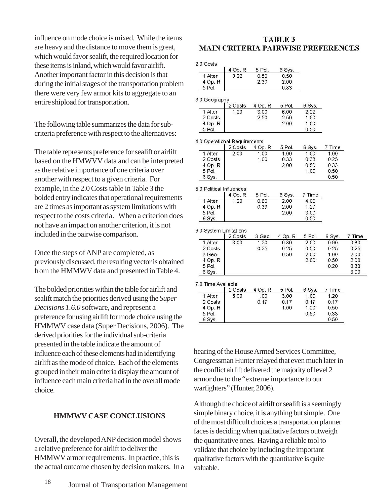influence on mode choice is mixed. While the items are heavy and the distance to move them is great, which would favor sealift, the required location for these items is inland, which would favor airlift. Another important factor in this decision is that during the initial stages of the transportation problem there were very few armor kits to aggregate to an entire shipload for transportation.

The following table summarizes the data for subcriteria preference with respect to the alternatives:

The table represents preference for sealift or airlift based on the HMWVV data and can be interpreted as the relative importance of one criteria over another with respect to a given criteria. For example, in the 2.0 Costs table in Table 3 the bolded entry indicates that operational requirements are 2 times as important as system limitations with respect to the costs criteria. When a criterion does not have an impact on another criterion, it is not included in the pairwise comparison.

Once the steps of ANP are completed, as previously discussed, the resulting vector is obtained from the HMMWV data and presented in Table 4.

The bolded priorities within the table for airlift and sealift match the priorities derived using the *Super Decisions 1.6.0* software, and represent a preference for using airlift for mode choice using the HMMWV case data (Super Decisions, 2006). The derived priorities for the individual sub-criteria presented in the table indicate the amount of influence each of these elements had in identifying airlift as the mode of choice. Each of the elements grouped in their main criteria display the amount of influence each main criteria had in the overall mode choice.

#### **HMMWV CASE CONCLUSIONS**

Overall, the developed ANP decision model shows a relative preference for airlift to deliver the HMMWV armor requirements. In practice, this is the actual outcome chosen by decision makers. In a

#### **TABLE 3 MAIN CRITERIA PAIRWISE PREFERENCES**

2.0 Costs

|         | 4 Op. R | 5 Pol. | 6 Sys. |
|---------|---------|--------|--------|
| 1 Alter | 0.22    | 0.50   | 0.50   |
| 4 Op. R |         | 2.30   | 2.00   |
| 5 Pol   |         |        |        |

|         | 2 Costs | 4 Op. R | 5 Pol. | 6 Sys. |
|---------|---------|---------|--------|--------|
| 1 Alter | 1.20    | 3.00    | 6.00   | 2.22   |
| 2 Costs |         | 2.50    | 2.50   | 1.00   |
| 4 Op. R |         |         | 2.00   | 1.00   |
| ലപ      |         |         |        |        |

| 4.0 Operational Requirements |         |         |         |        |        |        |
|------------------------------|---------|---------|---------|--------|--------|--------|
|                              | 2 Costs | 4 Op. R | 5 Pol.  | 6 Sys. | 7 Time |        |
| 1 Alter                      | 2.00    | 1.00    | 1.00    | 1.00   | 1.00   |        |
| 2 Costs                      |         | 1.00    | 0.33    | 0.33   | 0.25   |        |
| 4 Op. R                      |         |         | 2.00    | 0.50   | 0.33   |        |
| 5 Pol.                       |         |         |         | 1.00   | 0.50   |        |
| 6 Sys.                       |         |         |         |        | 0.50   |        |
| 5.0 Political Influences     |         |         |         |        |        |        |
|                              | 4 Op. R | 5 Pol.  | 6 Sys.  | 7 Time |        |        |
| 1 Alter                      | 1.20    | 0.60    | 2.00    | 4.00   |        |        |
| 4 Op. R                      |         | 0.33    | 2.00    | 1.20   |        |        |
| 5 Pol.                       |         |         | 2.00    | 3.00   |        |        |
| 6 Sys.                       |         |         |         | 0.50   |        |        |
| 6.0 System Limitations       | 2 Costs | 3 Geo   | 4 Op. R | 5 Pol. | 6 Sys. | 7 Time |
| 1 Alter                      | 3.00    | 1.20    | 0.80    | 2.00   | 0.90   | 0.80   |
| 2 Costs                      |         | 0.25    | 0.25    | 0.50   | 0.25   | 0.25   |
| 3 Geo                        |         |         | 0.50    | 2.00   | 1.00   | 2.00   |
| 4 Op. R                      |         |         |         | 2.00   | 0.50   | 2.00   |
| 5 Pol.                       |         |         |         |        | 0.20   | 0.33   |
| 6 Sys.                       |         |         |         |        |        | 3.00   |
| 7.0 Time Available           |         |         |         |        |        |        |
|                              |         |         |         |        |        |        |
|                              | 2 Costs | 4 Op. R | 5 Pol.  | 6 Sys. | 7 Time |        |
| 1 Alter                      | 5.00    | 1.00    | 3.00    | 1.00   | 1.20   |        |
| 2 Costs                      |         | 0.17    | 0.17    | 0.17   | 0.17   |        |
| 4 Op. R                      |         |         | 1.00    | 1.20   | 0.50   |        |
| 5 Pol.                       |         |         |         | 0.50   | 0.33   |        |

hearing of the House Armed Services Committee, Congressman Hunter relayed that even much later in the conflict airlift delivered the majority of level 2 armor due to the "extreme importance to our warfighters" (Hunter, 2006).

Although the choice of airlift or sealift is a seemingly simple binary choice, it is anything but simple. One of the most difficult choices a transportation planner faces is deciding when qualitative factors outweigh the quantitative ones. Having a reliable tool to validate that choice by including the important qualitative factors with the quantitative is quite valuable.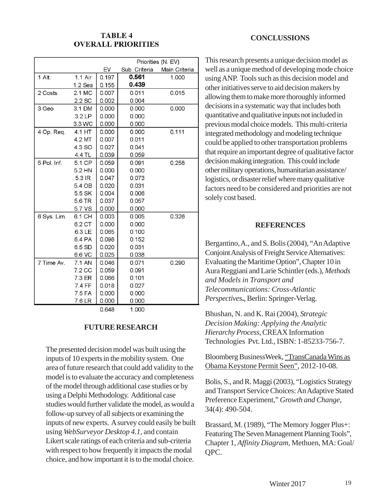# **TABLE 4 OVERALL PRIORITIES**

|             |           |       | Priorities (N. EV) |               |  |
|-------------|-----------|-------|--------------------|---------------|--|
|             |           | EV    | Sub. Criteria      | Main Criteria |  |
| $1$ Alt.    | $1.1$ Air | 0.197 | 0.561              | 1.000         |  |
|             | $1.2$ Sea | 0.155 | 0.439              |               |  |
| 2 Costs     | 2.1 MC    | 0.007 | 0.011              | 0.015         |  |
|             | $2.2$ SC  | 0.002 | 0.004              |               |  |
| 3 Geo       | 3.1 DM    | 0.000 | 0.000              | 0.000         |  |
|             | 3.2LP     | 0.000 | 0.000              |               |  |
|             | 3.3 WC    | 0.000 | 0.000              |               |  |
| 4 Op. Req.  | 4.1 HT    | 0.000 | 0.000              | 0.111         |  |
|             | 4.2 MT    | 0.007 | 0.011              |               |  |
|             | 4.3 SO    | 0.027 | 0.041              |               |  |
|             | 4.4 TL    | 0.039 | 0.059              |               |  |
| 5 Pol. Inf. | 5.1 CP    | 0.059 | 0.091              | 0.258         |  |
|             | 5.2 HN    | 0.000 | 0.000              |               |  |
|             | 5.3 IR    | 0.047 | 0.073              |               |  |
|             | 5.4 OB    | 0.020 | 0.031              |               |  |
|             | 5.5 SK    | 0.004 | 0.006              |               |  |
|             | 5.6 TR    | 0.037 | 0.057              |               |  |
|             | 5.7 VS    | 0.000 | 0.000              |               |  |
| 6 Sys. Lim. | 6.1 CH    | 0.003 | 0.005              | 0.326         |  |
|             | 6.2 CT    | 0.000 | 0.000              |               |  |
|             | 6.3 LE    | 0.065 | 0.100              |               |  |
|             | 6.4 PA    | 0.098 | 0.152              |               |  |
|             | 6.5 SD    | 0.020 | 0.031              |               |  |
|             | 6.6 VC    | 0.025 | 0.038              |               |  |
| 7 Time Av.  | 7.1 AN    | 0.046 | 0.071              | 0.290         |  |
|             | 7.2 CC    | 0.059 | 0.091              |               |  |
|             | 7.3 ER    | 0.066 | 0.101              |               |  |
|             | 7.4 FF    | 0.018 | 0.027              |               |  |
|             | 7.5 FA    | 0.000 | 0.000              |               |  |
|             | 7.6 LR    | 0.000 | 0.000              |               |  |
|             |           | 0.648 | 1.000              |               |  |

0.648

#### **FUTURE RESEARCH**

The presented decision model was built using the inputs of 10 experts in the mobility system. One area of future research that could add validity to the model is to evaluate the accuracy and completeness of the model through additional case studies or by using a Delphi Methodology. Additional case studies would further validate the model, as would a follow-up survey of all subjects or examining the inputs of new experts. A survey could easily be built using *WebSurveyor Desktop 4.1*, and contain Likert scale ratings of each criteria and sub-criteria with respect to how frequently it impacts the modal choice, and how important it is to the modal choice.

#### **CONCLUSSIONS**

This research presents a unique decision model as well as a unique method of developing mode choice using ANP. Tools such as this decision model and other initiatives serve to aid decision makers by allowing them to make more thoroughly informed decisions in a systematic way that includes both quantitative and qualitative inputs not included in previous modal choice models. This multi-criteria integrated methodology and modeling technique could be applied to other transportation problems that require an important degree of qualitative factor decision making integration. This could include other military operations, humanitarian assistance/ logistics, or disaster relief where many qualitative factors need to be considered and priorities are not solely cost based.

#### **REFERENCES**

Bergantino, A., and S. Bolis (2004), "An Adaptive Conjoint Analysis of Freight Service Alternatives: Evaluating the Maritime Option", Chapter 10 in Aura Reggiani and Larie Schintler (eds.), *Methods and Models in Transport and Telecommunications: Cross-Atlantic Perspectives***.**, Berlin: Springer-Verlag.

Bhushan, N. and K. Rai (2004), *Strategic Decision Making: Applying the Analytic Hierarchy Process,* CREAX Information Technologies Pvt. Ltd., ISBN: 1-85233-756-7.

Bloomberg BusinessWeek, "TransCanada Wins as Obama Keystone Permit Seen", 2012-10-08.

Bolis, S., and R. Maggi (2003), "Logistics Strategy and Transport Service Choices: An Adaptive Stated Preference Experiment," *Growth and Change*, 34(4): 490-504.

Brassard, M. (1989), "The Memory Jogger Plus+: Featuring The Seven Management Planning Tools", Chapter 1, *Affinity Diagram*, Methuen, MA: Goal/ QPC.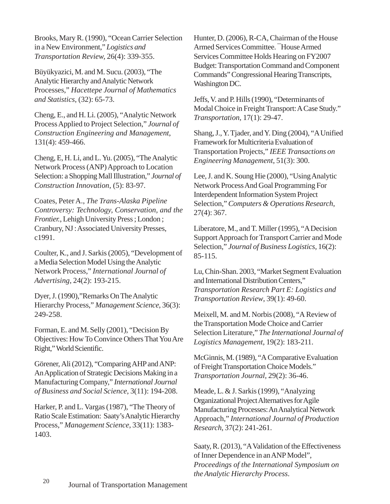Brooks, Mary R. (1990), "Ocean Carrier Selection in a New Environment," *Logistics and Transportation Review,* 26(4): 339-355.

Büyükyazici, M. and M. Sucu. (2003), "The Analytic Hierarchy and Analytic Network Processes," *Hacettepe Journal of Mathematics and Statistics*, (32): 65-73.

Cheng, E., and H. Li. (2005), "Analytic Network Process Applied to Project Selection," *Journal of Construction Engineering and Management*, 131(4): 459-466.

Cheng, E, H. Li, and L. Yu. (2005), "The Analytic Network Process (ANP) Approach to Location Selection: a Shopping Mall Illustration," *Journal of Construction Innovation*, (5): 83-97.

Coates, Peter A., *The Trans-Alaska Pipeline Controversy: Technology, Conservation, and the Frontier.*, Lehigh University Press ; London ; Cranbury, NJ : Associated University Presses, c1991.

Coulter, K., and J. Sarkis (2005), "Development of a Media Selection Model Using the Analytic Network Process," *International Journal of Advertising*, 24(2): 193-215.

Dyer, J. (1990),"Remarks On The Analytic Hierarchy Process," *Management Science*, 36(3): 249-258.

Forman, E. and M. Selly (2001), "Decision By Objectives: How To Convince Others That You Are Right," World Scientific.

Görener, Ali (2012), "Comparing AHP and ANP: An Application of Strategic Decisions Making in a Manufacturing Company," *International Journal of Business and Social Science*, 3(11): 194-208.

Harker, P. and L. Vargas (1987), "The Theory of Ratio Scale Estimation: Saaty's Analytic Hierarchy Process," *Management Science*, 33(11): 1383- 1403.

Hunter, D. (2006), R-CA, Chairman of the House Armed Services Committee. ¯House Armed Services Committee Holds Hearing on FY2007 Budget: Transportation Command and Component Commands" Congressional Hearing Transcripts, Washington DC.

Jeffs, V. and P. Hills (1990), "Determinants of Modal Choice in Freight Transport: A Case Study." *Transportation*, 17(1): 29-47.

Shang, J., Y. Tjader, and Y. Ding (2004), "A Unified Framework for Multicriteria Evaluation of Transportation Projects," *IEEE Transactions on Engineering Management*, 51(3): 300.

Lee, J. and K. Soung Hie (2000), "Using Analytic Network Process And Goal Programming For Interdependent Information System Project Selection," *Computers & Operations Research*, 27(4): 367.

Liberatore, M., and T. Miller (1995), "A Decision Support Approach for Transport Carrier and Mode Selection," *Journal of Business Logistics,* 16(2): 85-115.

Lu, Chin-Shan. 2003, "Market Segment Evaluation and International Distribution Centers," *Transportation Research Part E: Logistics and Transportation Review*, 39(1): 49-60.

Meixell, M. and M. Norbis (2008), "A Review of the Transportation Mode Choice and Carrier Selection Literature," *The International Journal of Logistics Management*, 19(2): 183-211.

McGinnis, M. (1989), "A Comparative Evaluation of Freight Transportation Choice Models." *Transportation Journal,* 29(2): 36-46.

Meade, L. & J. Sarkis (1999), "Analyzing Organizational Project Alternatives for Agile Manufacturing Processes: An Analytical Network Approach," *International Journal of Production Research*, 37(2): 241-261.

Saaty, R. (2013), "A Validation of the Effectiveness of Inner Dependence in an ANP Model", *Proceedings of the International Symposium on the Analytic Hierarchy Process*.